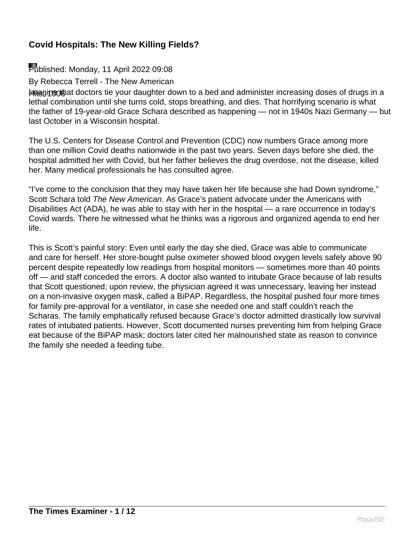#### Published: Monday, 11 April 2022 09:08

By Rebecca Terrell - The New American

Imagino that doctors tie your daughter down to a bed and administer increasing doses of drugs in a lethal combination until she turns cold, stops breathing, and dies. That horrifying scenario is what the father of 19-year-old Grace Schara described as happening — not in 1940s Nazi Germany — but last October in a Wisconsin hospital.

The U.S. Centers for Disease Control and Prevention (CDC) now numbers Grace among more than one million Covid deaths nationwide in the past two years. Seven days before she died, the hospital admitted her with Covid, but her father believes the drug overdose, not the disease, killed her. Many medical professionals he has consulted agree.

"I've come to the conclusion that they may have taken her life because she had Down syndrome," Scott Schara told The New American. As Grace's patient advocate under the Americans with Disabilities Act (ADA), he was able to stay with her in the hospital — a rare occurrence in today's Covid wards. There he witnessed what he thinks was a rigorous and organized agenda to end her life.

This is Scott's painful story: Even until early the day she died, Grace was able to communicate and care for herself. Her store-bought pulse oximeter showed blood oxygen levels safely above 90 percent despite repeatedly low readings from hospital monitors — sometimes more than 40 points off — and staff conceded the errors. A doctor also wanted to intubate Grace because of lab results that Scott questioned; upon review, the physician agreed it was unnecessary, leaving her instead on a non-invasive oxygen mask, called a BiPAP. Regardless, the hospital pushed four more times for family pre-approval for a ventilator, in case she needed one and staff couldn't reach the Scharas. The family emphatically refused because Grace's doctor admitted drastically low survival rates of intubated patients. However, Scott documented nurses preventing him from helping Grace eat because of the BiPAP mask; doctors later cited her malnourished state as reason to convince the family she needed a feeding tube.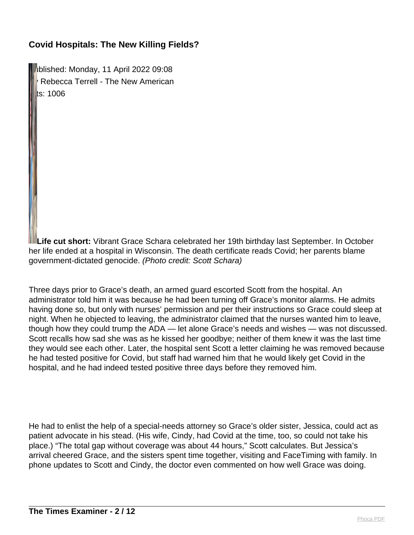Iblished: Monday, 11 April 2022 09:08 Rebecca Terrell - The New American  $\mathsf{ts}$ : 1006

**Life cut short:** Vibrant Grace Schara celebrated her 19th birthday last September. In October her life ended at a hospital in Wisconsin. The death certificate reads Covid; her parents blame government-dictated genocide. (Photo credit: Scott Schara)

Three days prior to Grace's death, an armed guard escorted Scott from the hospital. An administrator told him it was because he had been turning off Grace's monitor alarms. He admits having done so, but only with nurses' permission and per their instructions so Grace could sleep at night. When he objected to leaving, the administrator claimed that the nurses wanted him to leave, though how they could trump the ADA — let alone Grace's needs and wishes — was not discussed. Scott recalls how sad she was as he kissed her goodbye; neither of them knew it was the last time they would see each other. Later, the hospital sent Scott a letter claiming he was removed because he had tested positive for Covid, but staff had warned him that he would likely get Covid in the hospital, and he had indeed tested positive three days before they removed him.

He had to enlist the help of a special-needs attorney so Grace's older sister, Jessica, could act as patient advocate in his stead. (His wife, Cindy, had Covid at the time, too, so could not take his place.) "The total gap without coverage was about 44 hours," Scott calculates. But Jessica's arrival cheered Grace, and the sisters spent time together, visiting and FaceTiming with family. In phone updates to Scott and Cindy, the doctor even commented on how well Grace was doing.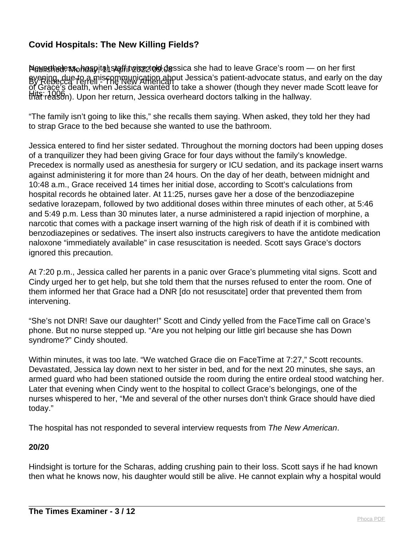Nevesthele የአ<sub>o</sub>hoapital staffitwiceztolg dessica she had to leave Grace's room — on her first By Rebecca Terrell - The New American about Jessica's patient-advocate status, and early on the day Hits: 1006<br>that reason). Upon her return, Jessica overheard doctors talking in the hallway. of Grace's death, when Jessica wanted to take a shower (though they never made Scott leave for

"The family isn't going to like this," she recalls them saying. When asked, they told her they had to strap Grace to the bed because she wanted to use the bathroom.

Jessica entered to find her sister sedated. Throughout the morning doctors had been upping doses of a tranquilizer they had been giving Grace for four days without the family's knowledge. Precedex is normally used as anesthesia for surgery or ICU sedation, and its package insert warns against administering it for more than 24 hours. On the day of her death, between midnight and 10:48 a.m., Grace received 14 times her initial dose, according to Scott's calculations from hospital records he obtained later. At 11:25, nurses gave her a dose of the benzodiazepine sedative lorazepam, followed by two additional doses within three minutes of each other, at 5:46 and 5:49 p.m. Less than 30 minutes later, a nurse administered a rapid injection of morphine, a narcotic that comes with a package insert warning of the high risk of death if it is combined with benzodiazepines or sedatives. The insert also instructs caregivers to have the antidote medication naloxone "immediately available" in case resuscitation is needed. Scott says Grace's doctors ignored this precaution.

At 7:20 p.m., Jessica called her parents in a panic over Grace's plummeting vital signs. Scott and Cindy urged her to get help, but she told them that the nurses refused to enter the room. One of them informed her that Grace had a DNR [do not resuscitate] order that prevented them from intervening.

"She's not DNR! Save our daughter!" Scott and Cindy yelled from the FaceTime call on Grace's phone. But no nurse stepped up. "Are you not helping our little girl because she has Down syndrome?" Cindy shouted.

Within minutes, it was too late. "We watched Grace die on FaceTime at 7:27," Scott recounts. Devastated, Jessica lay down next to her sister in bed, and for the next 20 minutes, she says, an armed guard who had been stationed outside the room during the entire ordeal stood watching her. Later that evening when Cindy went to the hospital to collect Grace's belongings, one of the nurses whispered to her, "Me and several of the other nurses don't think Grace should have died today."

The hospital has not responded to several interview requests from The New American.

#### **20/20**

Hindsight is torture for the Scharas, adding crushing pain to their loss. Scott says if he had known then what he knows now, his daughter would still be alive. He cannot explain why a hospital would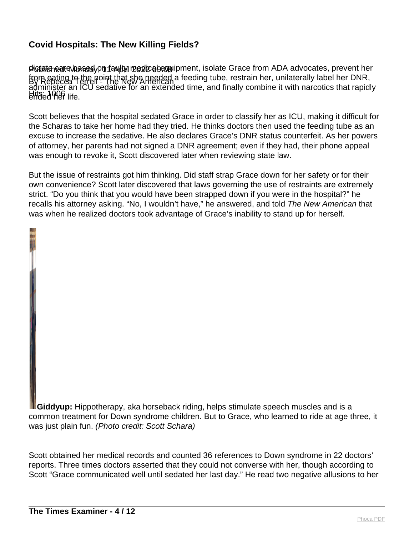**pigtate ear a hased**yo**n faulty medical equ**ipment, isolate Grace from ADA advocates, prevent her from eating to the point that she needed a feeding tube, restrain her, unilaterally label her DNR,<br>By Repecca I exteri Hits: 1006 ended her life. administer an ICU sedative for an extended time, and finally combine it with narcotics that rapidly

Scott believes that the hospital sedated Grace in order to classify her as ICU, making it difficult for the Scharas to take her home had they tried. He thinks doctors then used the feeding tube as an excuse to increase the sedative. He also declares Grace's DNR status counterfeit. As her powers of attorney, her parents had not signed a DNR agreement; even if they had, their phone appeal was enough to revoke it, Scott discovered later when reviewing state law.

But the issue of restraints got him thinking. Did staff strap Grace down for her safety or for their own convenience? Scott later discovered that laws governing the use of restraints are extremely strict. "Do you think that you would have been strapped down if you were in the hospital?" he recalls his attorney asking. "No, I wouldn't have," he answered, and told The New American that was when he realized doctors took advantage of Grace's inability to stand up for herself.

**Giddyup:** Hippotherapy, aka horseback riding, helps stimulate speech muscles and is a common treatment for Down syndrome children. But to Grace, who learned to ride at age three, it was just plain fun. (Photo credit: Scott Schara)

Scott obtained her medical records and counted 36 references to Down syndrome in 22 doctors' reports. Three times doctors asserted that they could not converse with her, though according to Scott "Grace communicated well until sedated her last day." He read two negative allusions to her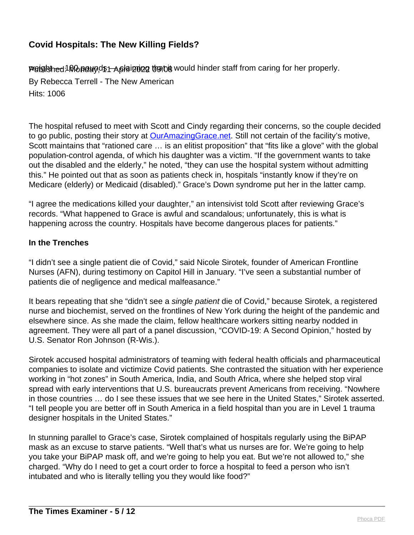PGigished: Monguy, 45 April 202 both would hinder staff from caring for her properly.

By Rebecca Terrell - The New American Hits: 1006

The hospital refused to meet with Scott and Cindy regarding their concerns, so the couple decided to go public, posting their story at **[OurAmazingGrace.net](http://ouramazinggrace.net/).** Still not certain of the facility's motive, Scott maintains that "rationed care ... is an elitist proposition" that "fits like a glove" with the global population-control agenda, of which his daughter was a victim. "If the government wants to take out the disabled and the elderly," he noted, "they can use the hospital system without admitting this." He pointed out that as soon as patients check in, hospitals "instantly know if they're on Medicare (elderly) or Medicaid (disabled)." Grace's Down syndrome put her in the latter camp.

"I agree the medications killed your daughter," an intensivist told Scott after reviewing Grace's records. "What happened to Grace is awful and scandalous; unfortunately, this is what is happening across the country. Hospitals have become dangerous places for patients."

#### **In the Trenches**

"I didn't see a single patient die of Covid," said Nicole Sirotek, founder of American Frontline Nurses (AFN), during testimony on Capitol Hill in January. "I've seen a substantial number of patients die of negligence and medical malfeasance."

It bears repeating that she "didn't see a single patient die of Covid," because Sirotek, a registered nurse and biochemist, served on the frontlines of New York during the height of the pandemic and elsewhere since. As she made the claim, fellow healthcare workers sitting nearby nodded in agreement. They were all part of a panel discussion, "COVID-19: A Second Opinion," hosted by U.S. Senator Ron Johnson (R-Wis.).

Sirotek accused hospital administrators of teaming with federal health officials and pharmaceutical companies to isolate and victimize Covid patients. She contrasted the situation with her experience working in "hot zones" in South America, India, and South Africa, where she helped stop viral spread with early interventions that U.S. bureaucrats prevent Americans from receiving. "Nowhere in those countries … do I see these issues that we see here in the United States," Sirotek asserted. "I tell people you are better off in South America in a field hospital than you are in Level 1 trauma designer hospitals in the United States."

In stunning parallel to Grace's case, Sirotek complained of hospitals regularly using the BiPAP mask as an excuse to starve patients. "Well that's what us nurses are for. We're going to help you take your BiPAP mask off, and we're going to help you eat. But we're not allowed to," she charged. "Why do I need to get a court order to force a hospital to feed a person who isn't intubated and who is literally telling you they would like food?"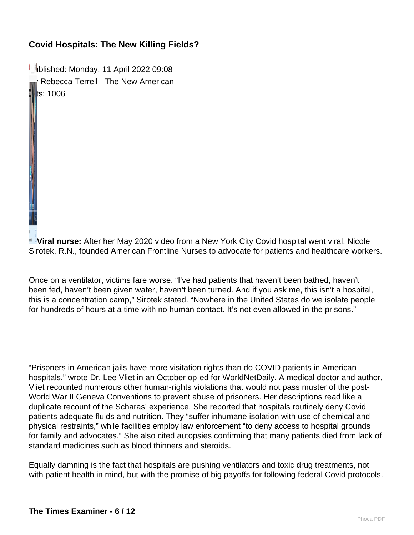**I** blished: Monday, 11 April 2022 09:08 Rebecca Terrell - The New American ts: 1006

**Viral nurse:** After her May 2020 video from a New York City Covid hospital went viral, Nicole Sirotek, R.N., founded American Frontline Nurses to advocate for patients and healthcare workers.

Once on a ventilator, victims fare worse. "I've had patients that haven't been bathed, haven't been fed, haven't been given water, haven't been turned. And if you ask me, this isn't a hospital, this is a concentration camp," Sirotek stated. "Nowhere in the United States do we isolate people for hundreds of hours at a time with no human contact. It's not even allowed in the prisons."

"Prisoners in American jails have more visitation rights than do COVID patients in American hospitals," wrote Dr. Lee Vliet in an October op-ed for WorldNetDaily. A medical doctor and author, Vliet recounted numerous other human-rights violations that would not pass muster of the post-World War II Geneva Conventions to prevent abuse of prisoners. Her descriptions read like a duplicate recount of the Scharas' experience. She reported that hospitals routinely deny Covid patients adequate fluids and nutrition. They "suffer inhumane isolation with use of chemical and physical restraints," while facilities employ law enforcement "to deny access to hospital grounds for family and advocates." She also cited autopsies confirming that many patients died from lack of standard medicines such as blood thinners and steroids.

Equally damning is the fact that hospitals are pushing ventilators and toxic drug treatments, not with patient health in mind, but with the promise of big payoffs for following federal Covid protocols.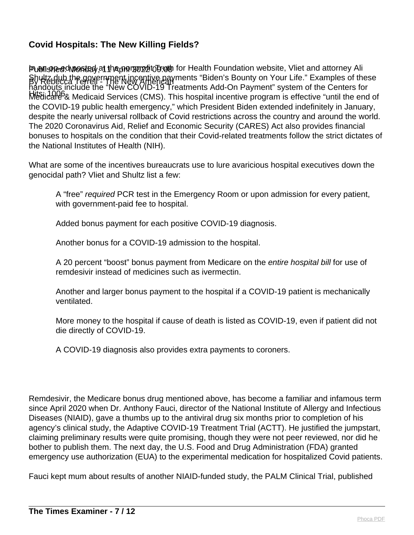Published: Chino Sted at the prince of the post of the alth Foundation website, Vliet and attorney Ali By Rebecca Terrell - The New American Shultz dub the government incentive payments "Biden's Bounty on Your Life." Examples of these Hits: 1006 Medicare & Medicaid Services (CMS). This hospital incentive program is effective "until the end of handouts include the "New COVID-19 Treatments Add-On Payment" system of the Centers for the COVID-19 public health emergency," which President Biden extended indefinitely in January, despite the nearly universal rollback of Covid restrictions across the country and around the world. The 2020 Coronavirus Aid, Relief and Economic Security (CARES) Act also provides financial bonuses to hospitals on the condition that their Covid-related treatments follow the strict dictates of the National Institutes of Health (NIH).

What are some of the incentives bureaucrats use to lure avaricious hospital executives down the genocidal path? Vliet and Shultz list a few:

A "free" required PCR test in the Emergency Room or upon admission for every patient, with government-paid fee to hospital.

Added bonus payment for each positive COVID-19 diagnosis.

Another bonus for a COVID-19 admission to the hospital.

A 20 percent "boost" bonus payment from Medicare on the entire hospital bill for use of remdesivir instead of medicines such as ivermectin.

Another and larger bonus payment to the hospital if a COVID-19 patient is mechanically ventilated.

More money to the hospital if cause of death is listed as COVID-19, even if patient did not die directly of COVID-19.

A COVID-19 diagnosis also provides extra payments to coroners.

Remdesivir, the Medicare bonus drug mentioned above, has become a familiar and infamous term since April 2020 when Dr. Anthony Fauci, director of the National Institute of Allergy and Infectious Diseases (NIAID), gave a thumbs up to the antiviral drug six months prior to completion of his agency's clinical study, the Adaptive COVID-19 Treatment Trial (ACTT). He justified the jumpstart, claiming preliminary results were quite promising, though they were not peer reviewed, nor did he bother to publish them. The next day, the U.S. Food and Drug Administration (FDA) granted emergency use authorization (EUA) to the experimental medication for hospitalized Covid patients.

Fauci kept mum about results of another NIAID-funded study, the PALM Clinical Trial, published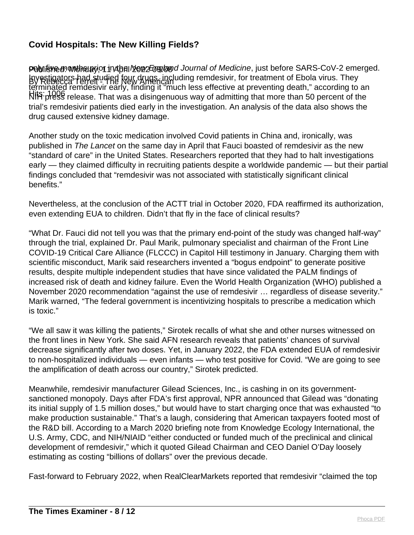**Published: Monthanedie: 11 April 2022 Tugland Journal of Medicine, just before SARS-CoV-2 emerged.** By Rebecca Terrell - The New American Investigators had studied four drugs, including remdesivir, for treatment of Ebola virus. They Hits: 1006 NIH press release. That was a disingenuous way of admitting that more than 50 percent of the terminated remdesivir early, finding it "much less effective at preventing death," according to an trial's remdesivir patients died early in the investigation. An analysis of the data also shows the drug caused extensive kidney damage.

Another study on the toxic medication involved Covid patients in China and, ironically, was published in The Lancet on the same day in April that Fauci boasted of remdesivir as the new "standard of care" in the United States. Researchers reported that they had to halt investigations early — they claimed difficulty in recruiting patients despite a worldwide pandemic — but their partial findings concluded that "remdesivir was not associated with statistically significant clinical benefits."

Nevertheless, at the conclusion of the ACTT trial in October 2020, FDA reaffirmed its authorization, even extending EUA to children. Didn't that fly in the face of clinical results?

"What Dr. Fauci did not tell you was that the primary end-point of the study was changed half-way" through the trial, explained Dr. Paul Marik, pulmonary specialist and chairman of the Front Line COVID-19 Critical Care Alliance (FLCCC) in Capitol Hill testimony in January. Charging them with scientific misconduct, Marik said researchers invented a "bogus endpoint" to generate positive results, despite multiple independent studies that have since validated the PALM findings of increased risk of death and kidney failure. Even the World Health Organization (WHO) published a November 2020 recommendation "against the use of remdesivir … regardless of disease severity." Marik warned, "The federal government is incentivizing hospitals to prescribe a medication which is toxic."

"We all saw it was killing the patients," Sirotek recalls of what she and other nurses witnessed on the front lines in New York. She said AFN research reveals that patients' chances of survival decrease significantly after two doses. Yet, in January 2022, the FDA extended EUA of remdesivir to non-hospitalized individuals — even infants — who test positive for Covid. "We are going to see the amplification of death across our country," Sirotek predicted.

Meanwhile, remdesivir manufacturer Gilead Sciences, Inc., is cashing in on its governmentsanctioned monopoly. Days after FDA's first approval, NPR announced that Gilead was "donating its initial supply of 1.5 million doses," but would have to start charging once that was exhausted "to make production sustainable." That's a laugh, considering that American taxpayers footed most of the R&D bill. According to a March 2020 briefing note from Knowledge Ecology International, the U.S. Army, CDC, and NIH/NIAID "either conducted or funded much of the preclinical and clinical development of remdesivir," which it quoted Gilead Chairman and CEO Daniel O'Day loosely estimating as costing "billions of dollars" over the previous decade.

Fast-forward to February 2022, when RealClearMarkets reported that remdesivir "claimed the top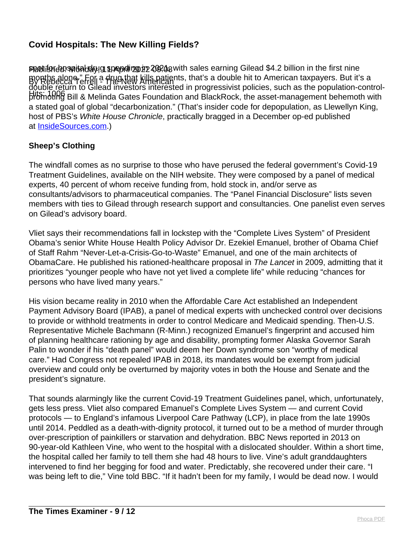Published: Monday, 11 April 2022 09:08 spot for hospital drug spending in 2021, with sales earning Gilead \$4.2 billion in the first nine By Rebecca Terrell a Hug that kills patients, that's a double hit to American taxpayers. But it's a<br>By Rebecca Terrell a Hug New American Hits: 1006 promoting Bill & Melinda Gates Foundation and BlackRock, the asset-management behemoth with double return to Gilead investors interested in progressivist policies, such as the population-controla stated goal of global "decarbonization." (That's insider code for depopulation, as Llewellyn King, host of PBS's White House Chronicle, practically bragged in a December op-ed published at [InsideSources.com.](http://insidesources.com/))

#### **Sheep's Clothing**

The windfall comes as no surprise to those who have perused the federal government's Covid-19 Treatment Guidelines, available on the NIH website. They were composed by a panel of medical experts, 40 percent of whom receive funding from, hold stock in, and/or serve as consultants/advisors to pharmaceutical companies. The "Panel Financial Disclosure" lists seven members with ties to Gilead through research support and consultancies. One panelist even serves on Gilead's advisory board.

Vliet says their recommendations fall in lockstep with the "Complete Lives System" of President Obama's senior White House Health Policy Advisor Dr. Ezekiel Emanuel, brother of Obama Chief of Staff Rahm "Never-Let-a-Crisis-Go-to-Waste" Emanuel, and one of the main architects of ObamaCare. He published his rationed-healthcare proposal in The Lancet in 2009, admitting that it prioritizes "younger people who have not yet lived a complete life" while reducing "chances for persons who have lived many years."

His vision became reality in 2010 when the Affordable Care Act established an Independent Payment Advisory Board (IPAB), a panel of medical experts with unchecked control over decisions to provide or withhold treatments in order to control Medicare and Medicaid spending. Then-U.S. Representative Michele Bachmann (R-Minn.) recognized Emanuel's fingerprint and accused him of planning healthcare rationing by age and disability, prompting former Alaska Governor Sarah Palin to wonder if his "death panel" would deem her Down syndrome son "worthy of medical care." Had Congress not repealed IPAB in 2018, its mandates would be exempt from judicial overview and could only be overturned by majority votes in both the House and Senate and the president's signature.

That sounds alarmingly like the current Covid-19 Treatment Guidelines panel, which, unfortunately, gets less press. Vliet also compared Emanuel's Complete Lives System — and current Covid protocols — to England's infamous Liverpool Care Pathway (LCP), in place from the late 1990s until 2014. Peddled as a death-with-dignity protocol, it turned out to be a method of murder through over-prescription of painkillers or starvation and dehydration. BBC News reported in 2013 on 90-year-old Kathleen Vine, who went to the hospital with a dislocated shoulder. Within a short time, the hospital called her family to tell them she had 48 hours to live. Vine's adult granddaughters intervened to find her begging for food and water. Predictably, she recovered under their care. "I was being left to die," Vine told BBC. "If it hadn't been for my family, I would be dead now. I would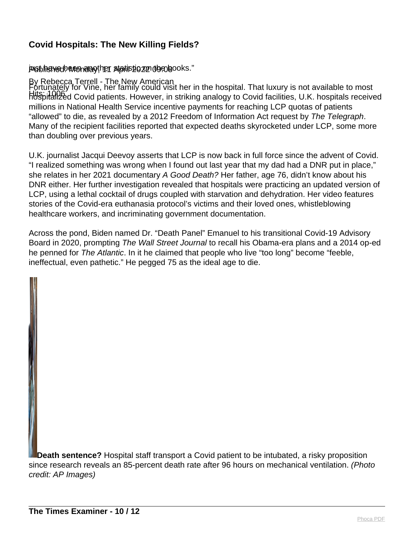#### jeisibihenved: Mondag; her statistig zon digedisooks."

By Rebecca Terrell - The New American Hits: 1006 hospitalized Covid patients. However, in striking analogy to Covid facilities, U.K. hospitals received Fortunately for Vine, her family could visit her in the hospital. That luxury is not available to most millions in National Health Service incentive payments for reaching LCP quotas of patients "allowed" to die, as revealed by a 2012 Freedom of Information Act request by The Telegraph. Many of the recipient facilities reported that expected deaths skyrocketed under LCP, some more than doubling over previous years.

U.K. journalist Jacqui Deevoy asserts that LCP is now back in full force since the advent of Covid. "I realized something was wrong when I found out last year that my dad had a DNR put in place," she relates in her 2021 documentary A Good Death? Her father, age 76, didn't know about his DNR either. Her further investigation revealed that hospitals were practicing an updated version of LCP, using a lethal cocktail of drugs coupled with starvation and dehydration. Her video features stories of the Covid-era euthanasia protocol's victims and their loved ones, whistleblowing healthcare workers, and incriminating government documentation.

Across the pond, Biden named Dr. "Death Panel" Emanuel to his transitional Covid-19 Advisory Board in 2020, prompting The Wall Street Journal to recall his Obama-era plans and a 2014 op-ed he penned for The Atlantic. In it he claimed that people who live "too long" become "feeble, ineffectual, even pathetic." He pegged 75 as the ideal age to die.

**Death sentence?** Hospital staff transport a Covid patient to be intubated, a risky proposition since research reveals an 85-percent death rate after 96 hours on mechanical ventilation. (Photo credit: AP Images)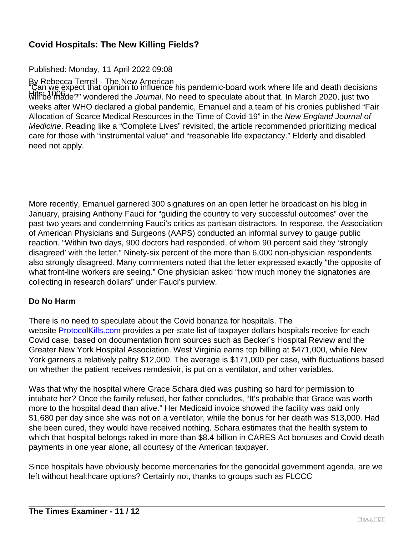#### Published: Monday, 11 April 2022 09:08

By Rebecca Terrell - The New American will be made?" wondered the *Journal*. No need to speculate about that. In March 2020, just two "Can we expect that opinion to influence his pandemic-board work where life and death decisions weeks after WHO declared a global pandemic, Emanuel and a team of his cronies published "Fair Allocation of Scarce Medical Resources in the Time of Covid-19" in the New England Journal of Medicine. Reading like a "Complete Lives" revisited, the article recommended prioritizing medical care for those with "instrumental value" and "reasonable life expectancy." Elderly and disabled need not apply.

More recently, Emanuel garnered 300 signatures on an open letter he broadcast on his blog in January, praising Anthony Fauci for "guiding the country to very successful outcomes" over the past two years and condemning Fauci's critics as partisan distractors. In response, the Association of American Physicians and Surgeons (AAPS) conducted an informal survey to gauge public reaction. "Within two days, 900 doctors had responded, of whom 90 percent said they 'strongly disagreed' with the letter." Ninety-six percent of the more than 6,000 non-physician respondents also strongly disagreed. Many commenters noted that the letter expressed exactly "the opposite of what front-line workers are seeing." One physician asked "how much money the signatories are collecting in research dollars" under Fauci's purview.

#### **Do No Harm**

There is no need to speculate about the Covid bonanza for hospitals. The website [ProtocolKills.com](http://protocolkills.com/) provides a per-state list of taxpayer dollars hospitals receive for each Covid case, based on documentation from sources such as Becker's Hospital Review and the Greater New York Hospital Association. West Virginia earns top billing at \$471,000, while New York garners a relatively paltry \$12,000. The average is \$171,000 per case, with fluctuations based on whether the patient receives remdesivir, is put on a ventilator, and other variables.

Was that why the hospital where Grace Schara died was pushing so hard for permission to intubate her? Once the family refused, her father concludes, "It's probable that Grace was worth more to the hospital dead than alive." Her Medicaid invoice showed the facility was paid only \$1,680 per day since she was not on a ventilator, while the bonus for her death was \$13,000. Had she been cured, they would have received nothing. Schara estimates that the health system to which that hospital belongs raked in more than \$8.4 billion in CARES Act bonuses and Covid death payments in one year alone, all courtesy of the American taxpayer.

Since hospitals have obviously become mercenaries for the genocidal government agenda, are we left without healthcare options? Certainly not, thanks to groups such as FLCCC